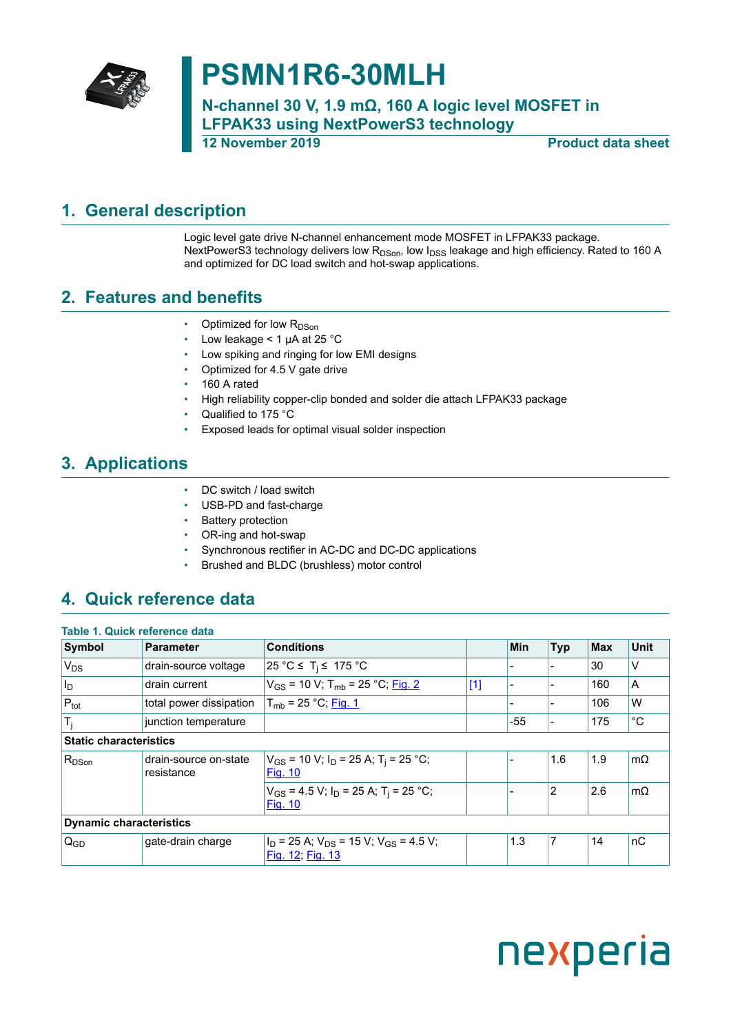

## **PSMN1R6-30MLH**

**N-channel 30 V, 1.9 mΩ, 160 A logic level MOSFET in LFPAK33 using NextPowerS3 technology 12 November 2019 Product data sheet**

### <span id="page-0-0"></span>**1. General description**

Logic level gate drive N-channel enhancement mode MOSFET in LFPAK33 package. NextPowerS3 technology delivers low  $R_{DSon}$ , low  $I_{DSS}$  leakage and high efficiency. Rated to 160 A and optimized for DC load switch and hot-swap applications.

### <span id="page-0-1"></span>**2. Features and benefits**

- Optimized for low R<sub>DSon</sub>
- Low leakage < 1 µA at 25 °C
- Low spiking and ringing for low EMI designs
- Optimized for 4.5 V gate drive
- 160 A rated
- High reliability copper-clip bonded and solder die attach LFPAK33 package
- Qualified to 175 °C
- Exposed leads for optimal visual solder inspection

### <span id="page-0-2"></span>**3. Applications**

- DC switch / load switch
- USB-PD and fast-charge
- Battery protection
- OR-ing and hot-swap
- Synchronous rectifier in AC-DC and DC-DC applications
- Brushed and BLDC (brushless) motor control

### <span id="page-0-3"></span>**4. Quick reference data**

| Table 1. Quick reference data  |                                     |                                                                           |       |     |                |            |             |
|--------------------------------|-------------------------------------|---------------------------------------------------------------------------|-------|-----|----------------|------------|-------------|
| Symbol                         | <b>Parameter</b>                    | <b>Conditions</b>                                                         |       | Min | <b>Typ</b>     | <b>Max</b> | <b>Unit</b> |
| $V_{DS}$                       | drain-source voltage                | 25 °C ≤ T <sub>i</sub> ≤ 175 °C                                           |       |     |                | 30         | v           |
| $ I_{D} $                      | drain current                       | $V_{GS}$ = 10 V; T <sub>mb</sub> = 25 °C; Fig. 2                          | $[1]$ |     |                | 160        | A           |
| $P_{\text{tot}}$               | total power dissipation             | $T_{mb}$ = 25 °C; Fig. 1                                                  |       |     |                | 106        | W           |
| $T_i$                          | junction temperature                |                                                                           |       | -55 |                | 175        | $^{\circ}C$ |
| <b>Static characteristics</b>  |                                     |                                                                           |       |     |                |            |             |
| $R_{DSon}$                     | drain-source on-state<br>resistance | $V_{GS}$ = 10 V; $I_D$ = 25 A; T <sub>i</sub> = 25 °C;<br><b>Fig. 10</b>  |       |     | 1.6            | 1.9        | $m\Omega$   |
|                                |                                     | $V_{GS}$ = 4.5 V; $I_D$ = 25 A; T <sub>i</sub> = 25 °C;<br><b>Fig. 10</b> |       |     | $\overline{2}$ | 2.6        | $m\Omega$   |
| <b>Dynamic characteristics</b> |                                     |                                                                           |       |     |                |            |             |
| $Q_{GD}$                       | gate-drain charge                   | $I_D$ = 25 A; $V_{DS}$ = 15 V; $V_{GS}$ = 4.5 V;<br>Fig. 12; Fig. 13      |       | 1.3 | 7              | 14         | nC          |

# nexperia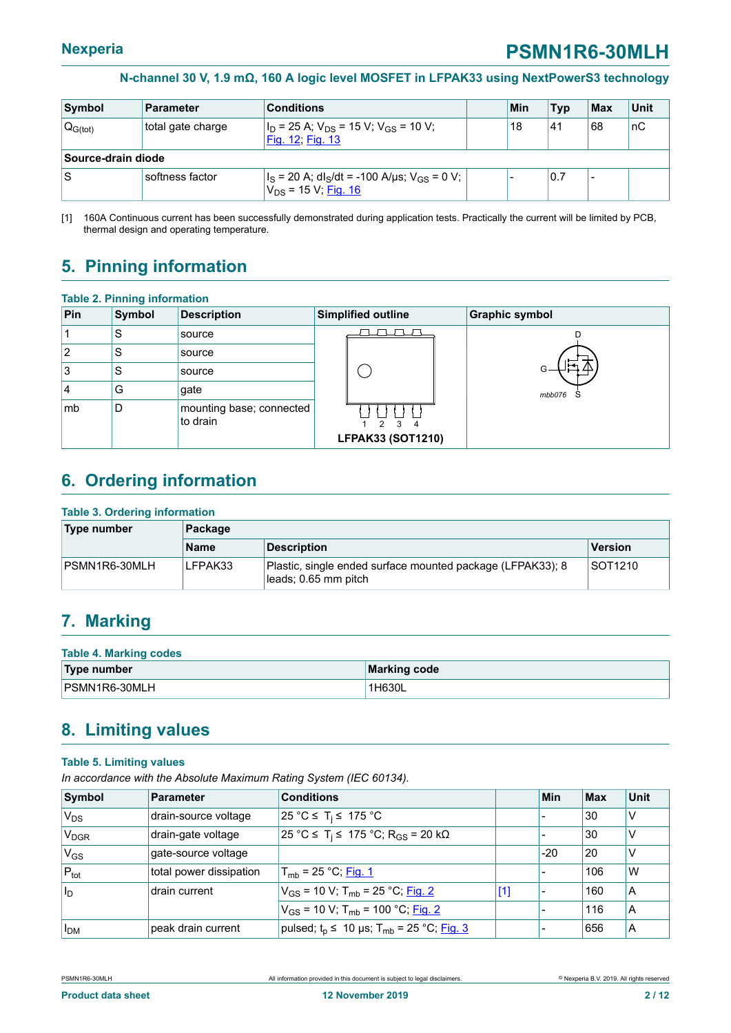<span id="page-1-0"></span>

| Symbol             | <b>Parameter</b>             | <b>Conditions</b>                                                                |  | Min | <b>Typ</b> | Max                      | <b>Unit</b> |  |
|--------------------|------------------------------|----------------------------------------------------------------------------------|--|-----|------------|--------------------------|-------------|--|
| $Q_{G(tot)}$       | total gate charge            | $I_D$ = 25 A; $V_{DS}$ = 15 V; V <sub>GS</sub> = 10 V;<br>Fig. 12, Fig. 13       |  | 18  | 41         | 68                       | nC          |  |
| Source-drain diode |                              |                                                                                  |  |     |            |                          |             |  |
| ١S                 | <sup>⊦</sup> softness factor | $ I_S = 20 A; dl_S/dt = -100 A/\mu s; V_{GS} = 0 V;$<br>$V_{DS}$ = 15 V; Fig. 16 |  |     | 0.7        | $\overline{\phantom{0}}$ |             |  |

[1] 160A Continuous current has been successfully demonstrated during application tests. Practically the current will be limited by PCB, thermal design and operating temperature.

### <span id="page-1-1"></span>**5. Pinning information**

**Table 2. Pinning information**

| <b>Symbol</b> | <b>Description</b> |                              | <b>Graphic symbol</b>                                                      |
|---------------|--------------------|------------------------------|----------------------------------------------------------------------------|
| S             | source             |                              |                                                                            |
| S             | source             |                              |                                                                            |
| S             | source             |                              |                                                                            |
| G             | gate               |                              | mbb076                                                                     |
| D             | to drain           | $\mathcal{R}$<br>Δ           |                                                                            |
|               |                    | Table 2. Pinning Information | Simplified outline<br>mounting base; connected<br><b>LFPAK33 (SOT1210)</b> |

### <span id="page-1-2"></span>**6. Ordering information**

#### **Table 3. Ordering information**

| Type number    | Package |                                                                                    |         |  |  |  |
|----------------|---------|------------------------------------------------------------------------------------|---------|--|--|--|
|                | Name    | <b>Description</b>                                                                 | Version |  |  |  |
| IPSMN1R6-30MLH | LFPAK33 | Plastic, single ended surface mounted package (LFPAK33); 8<br>leads; 0.65 mm pitch | SOT1210 |  |  |  |

### <span id="page-1-3"></span>**7. Marking**

| <b>Table 4. Marking codes</b> |                     |  |  |  |
|-------------------------------|---------------------|--|--|--|
| Type number                   | <b>Marking code</b> |  |  |  |
| PSMN1R6-30MLH                 | '1H630L             |  |  |  |

### <span id="page-1-4"></span>**8. Limiting values**

#### **Table 5. Limiting values**

*In accordance with the Absolute Maximum Rating System (IEC 60134).*

| Symbol                | <b>Parameter</b>        | <b>Conditions</b>                                                      |       | Min   | Max | <b>Unit</b> |
|-----------------------|-------------------------|------------------------------------------------------------------------|-------|-------|-----|-------------|
| $V_{DS}$              | drain-source voltage    | 25 °C ≤ T <sub>i</sub> ≤ 175 °C                                        |       |       | 30  | IV          |
| V <sub>DGR</sub>      | drain-gate voltage      | $25 °C$ ≤ T <sub>i</sub> ≤ 175 °C; R <sub>GS</sub> = 20 kΩ             |       |       | 30  | ν           |
| $V_{GS}$              | gate-source voltage     |                                                                        |       | $-20$ | 20  | V           |
| $P_{\text{tot}}$      | total power dissipation | $T_{mb}$ = 25 °C; Fig. 1                                               |       |       | 106 | W           |
| $\vert I_D \vert$     | drain current           | $V_{GS}$ = 10 V; T <sub>mb</sub> = 25 °C; Fig. 2                       | $[1]$ |       | 160 | ΙA          |
|                       |                         | $V_{GS}$ = 10 V; T <sub>mb</sub> = 100 °C; Fig. 2                      |       |       | 116 | ΙA          |
| <b>I<sub>DM</sub></b> | peak drain current      | pulsed; t <sub>p</sub> ≤ 10 µs; T <sub>mb</sub> = 25 °C; <u>Fig. 3</u> |       |       | 656 | ΙA          |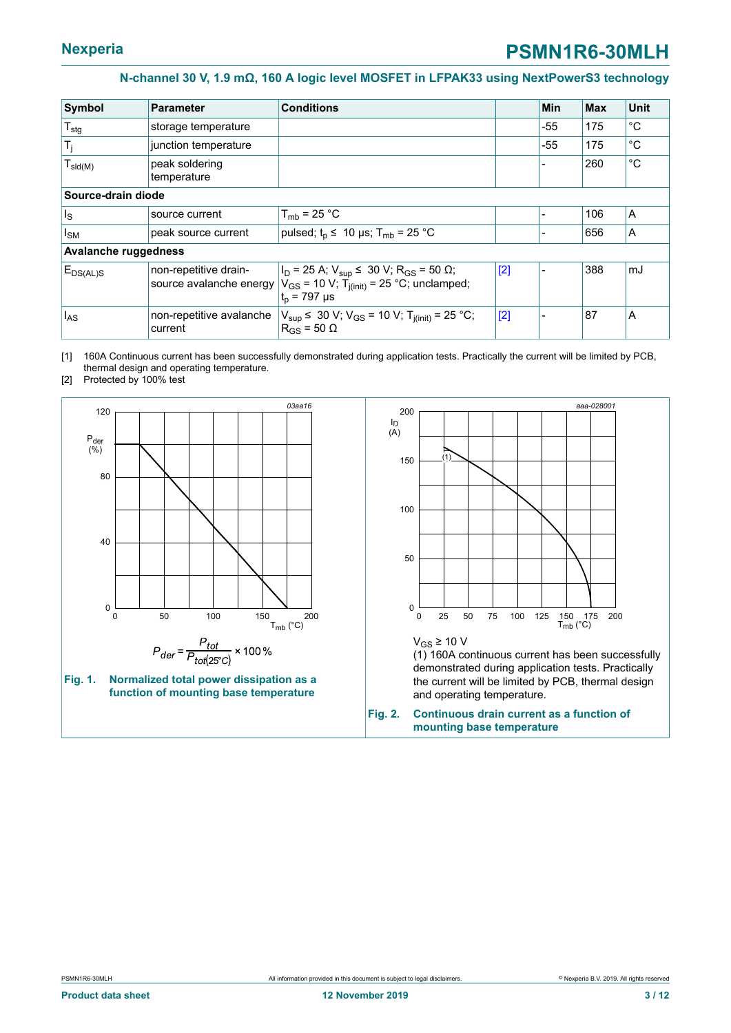<span id="page-2-2"></span>

| Symbol                      | <b>Parameter</b>                                 | <b>Conditions</b>                                                                                                                     |     | Min   | <b>Max</b> | <b>Unit</b> |
|-----------------------------|--------------------------------------------------|---------------------------------------------------------------------------------------------------------------------------------------|-----|-------|------------|-------------|
| $T_{\text{stg}}$            | storage temperature                              |                                                                                                                                       |     | $-55$ | 175        | °C          |
| $T_j$                       | junction temperature                             |                                                                                                                                       |     | $-55$ | 175        | °C          |
| $T_{\text{sld}(M)}$         | peak soldering<br>temperature                    |                                                                                                                                       |     |       | 260        | °C          |
| Source-drain diode          |                                                  |                                                                                                                                       |     |       |            |             |
| $I_{\rm S}$                 | source current                                   | $T_{mb}$ = 25 °C                                                                                                                      |     |       | 106        | A           |
| $I_{SM}$                    | peak source current                              | pulsed; $t_p \leq 10 \mu s$ ; T <sub>mb</sub> = 25 °C                                                                                 |     |       | 656        | A           |
| <b>Avalanche ruggedness</b> |                                                  |                                                                                                                                       |     |       |            |             |
| $E_{DS(AL)S}$               | non-repetitive drain-<br>source avalanche energy | $ I_D = 25 A; V_{sup} \le 30 V; R_{GS} = 50 \Omega;$<br>$V_{GS}$ = 10 V; T <sub>i(init)</sub> = 25 °C; unclamped;<br>$t_{p}$ = 797 µs | [2] |       | 388        | mJ          |
| $I_{AS}$                    | non-repetitive avalanche<br>current              | $V_{\text{sup}}$ $\leq$ 30 V; V <sub>GS</sub> = 10 V; T <sub>i(init)</sub> = 25 °C;<br>$R_{GS}$ = 50 $\Omega$                         | [2] |       | 87         | A           |

[1] 160A Continuous current has been successfully demonstrated during application tests. Practically the current will be limited by PCB, thermal design and operating temperature.

[2] Protected by 100% test

<span id="page-2-1"></span>



<span id="page-2-0"></span>

 $V$ <sub>GS</sub> ≥ 10 V

(1) 160A continuous current has been successfully demonstrated during application tests. Practically the current will be limited by PCB, thermal design and operating temperature.

**Fig. 2. Continuous drain current as a function of mounting base temperature**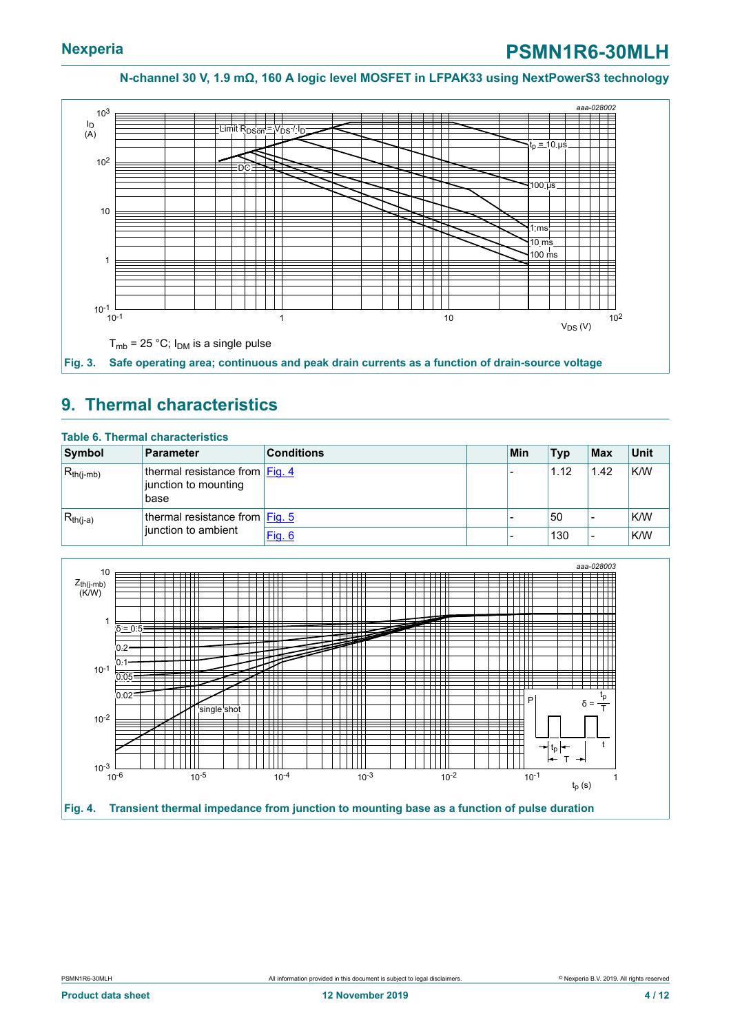<span id="page-3-0"></span>

#### <span id="page-3-2"></span>**9. Thermal characteristics**

| <b>Table 6. Thermal characteristics</b> |                                                                                             |                   |  |     |            |      |      |  |
|-----------------------------------------|---------------------------------------------------------------------------------------------|-------------------|--|-----|------------|------|------|--|
| Symbol                                  | <b>Parameter</b>                                                                            | <b>Conditions</b> |  | Min | <b>Typ</b> | ∣Max | Unit |  |
| $R_{th(i-mb)}$                          | thermal resistance from $\left  \underline{Fig. 4} \right $<br>junction to mounting<br>base |                   |  |     | 1.12       | 1.42 | K/W  |  |
| $R_{th(i-a)}$                           | thermal resistance from $ Fig. 5 $                                                          |                   |  |     | 50         |      | K/W  |  |
|                                         | junction to ambient                                                                         | <b>Fig. 6</b>     |  |     | 130        |      | K/W  |  |

<span id="page-3-1"></span>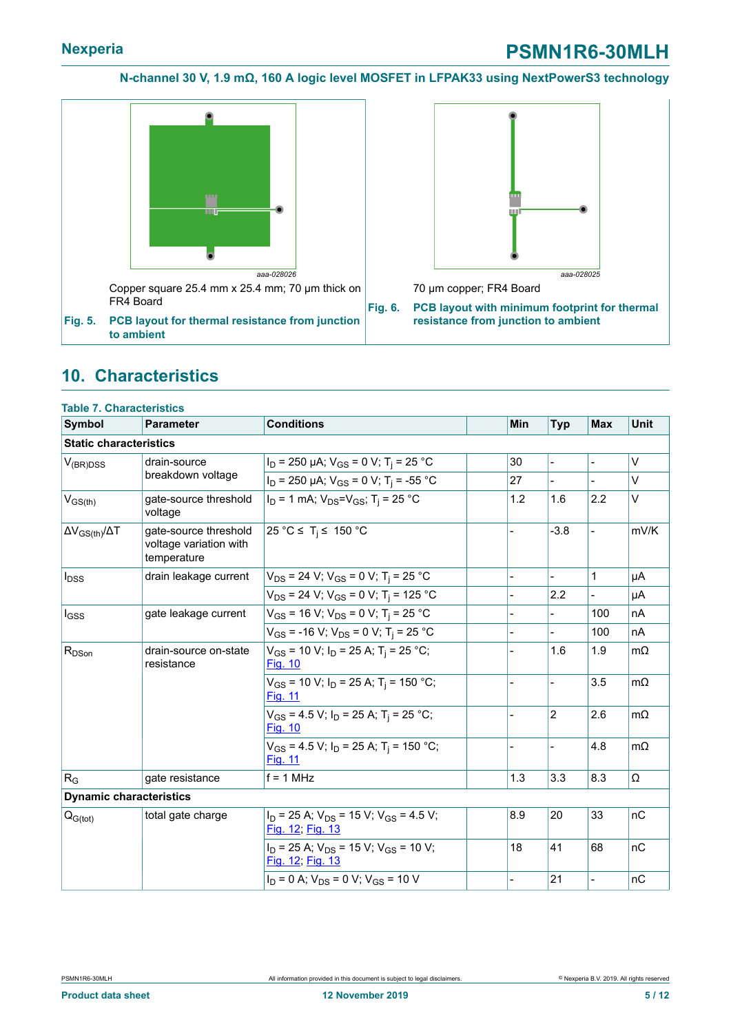### **Nexperia PSMN1R6-30MLH**

**N-channel 30 V, 1.9 mΩ, 160 A logic level MOSFET in LFPAK33 using NextPowerS3 technology**

<span id="page-4-0"></span>

<span id="page-4-1"></span>

70 µm copper; FR4 Board

**Fig. 6. PCB layout with minimum footprint for thermal resistance from junction to ambient**

### <span id="page-4-2"></span>**10. Characteristics**

| <b>Table 7. Characteristics</b> |                                                                |                                                                            |     |                              |                |             |
|---------------------------------|----------------------------------------------------------------|----------------------------------------------------------------------------|-----|------------------------------|----------------|-------------|
| <b>Symbol</b>                   | <b>Parameter</b>                                               | <b>Conditions</b>                                                          | Min | <b>Typ</b>                   | <b>Max</b>     | <b>Unit</b> |
| <b>Static characteristics</b>   |                                                                |                                                                            |     |                              |                |             |
| $V_{(BR)DSS}$                   | drain-source                                                   | $I_D$ = 250 µA; $V_{GS}$ = 0 V; T <sub>i</sub> = 25 °C                     | 30  | $\qquad \qquad \blacksquare$ |                | V           |
|                                 | breakdown voltage                                              | $I_D$ = 250 µA; $V_{GS}$ = 0 V; T <sub>i</sub> = -55 °C                    | 27  | $\overline{a}$               |                | $\vee$      |
| $V_{GS(th)}$                    | gate-source threshold<br>voltage                               | $I_D = 1$ mA; $V_{DS} = V_{GS}$ ; T <sub>i</sub> = 25 °C                   | 1.2 | 1.6                          | 2.2            | $\vee$      |
| $\Delta V_{GS(th)} / \Delta T$  | gate-source threshold<br>voltage variation with<br>temperature | 25 °C ≤ T <sub>i</sub> ≤ 150 °C                                            |     | $-3.8$                       |                | mV/K        |
| $I_{DSS}$                       | drain leakage current                                          | $V_{DS}$ = 24 V; $V_{GS}$ = 0 V; T <sub>i</sub> = 25 °C                    |     |                              | $\mathbf{1}$   | μA          |
|                                 |                                                                | $V_{DS}$ = 24 V; V <sub>GS</sub> = 0 V; T <sub>i</sub> = 125 °C            |     | 2.2                          |                | μA          |
| $I_{GSS}$                       | gate leakage current                                           | $V_{GS}$ = 16 V; $V_{DS}$ = 0 V; T <sub>i</sub> = 25 °C                    |     |                              | 100            | nA          |
|                                 |                                                                | $V_{GS}$ = -16 V; $V_{DS}$ = 0 V; T <sub>i</sub> = 25 °C                   |     |                              | 100            | nA          |
| $R_{DSon}$                      | drain-source on-state<br>resistance                            | $V_{GS}$ = 10 V; $I_D$ = 25 A; T <sub>i</sub> = 25 °C;<br><b>Fig. 10</b>   |     | 1.6                          | 1.9            | $m\Omega$   |
|                                 |                                                                | $V_{GS}$ = 10 V; $I_D$ = 25 A; T <sub>i</sub> = 150 °C;<br>Fig. 11         |     |                              | 3.5            | $m\Omega$   |
|                                 |                                                                | $V_{GS}$ = 4.5 V; $I_D$ = 25 A; T <sub>i</sub> = 25 °C;<br><b>Fig. 10</b>  |     | $\overline{c}$               | 2.6            | $m\Omega$   |
|                                 |                                                                | $V_{GS}$ = 4.5 V; $I_D$ = 25 A; T <sub>i</sub> = 150 °C;<br><b>Fig. 11</b> |     |                              | 4.8            | $m\Omega$   |
| $R_G$                           | gate resistance                                                | $f = 1$ MHz                                                                | 1.3 | 3.3                          | 8.3            | Ω           |
| <b>Dynamic characteristics</b>  |                                                                |                                                                            |     |                              |                |             |
| $Q_{G(tot)}$                    | total gate charge                                              | $I_D$ = 25 A; $V_{DS}$ = 15 V; $V_{GS}$ = 4.5 V;<br>Fig. 12, Fig. 13       | 8.9 | 20                           | 33             | nC          |
|                                 |                                                                | $I_D$ = 25 A; $V_{DS}$ = 15 V; V <sub>GS</sub> = 10 V;<br>Fig. 12; Fig. 13 | 18  | 41                           | 68             | nC          |
|                                 |                                                                | $I_D = 0$ A; $V_{DS} = 0$ V; $V_{GS} = 10$ V                               |     | 21                           | $\overline{a}$ | nC          |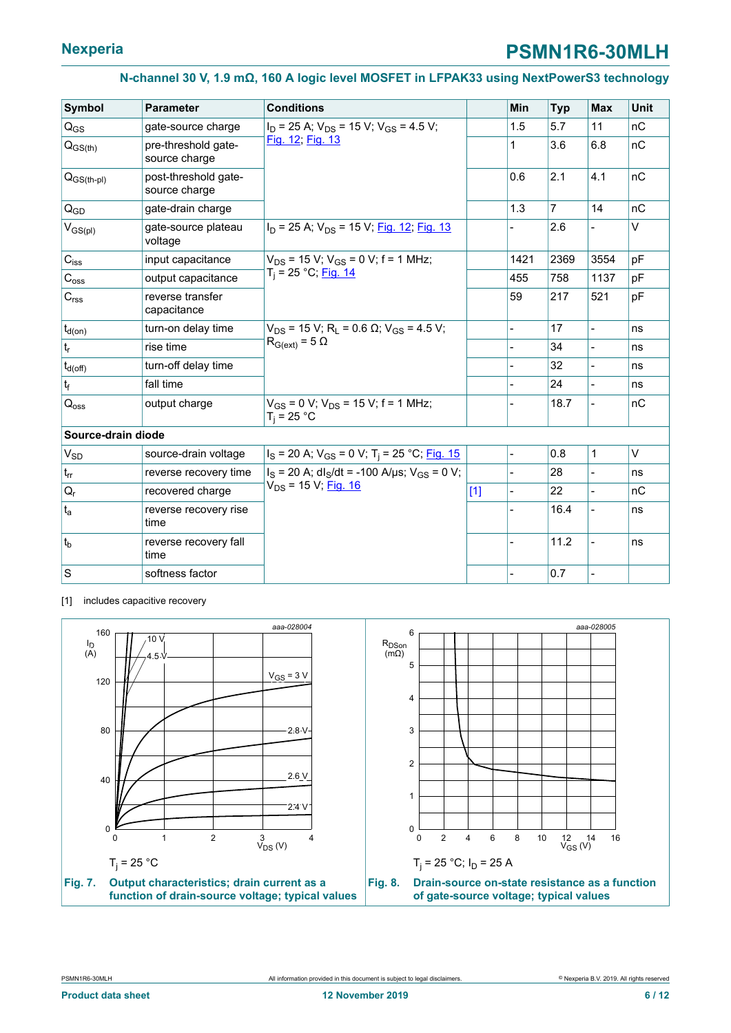<span id="page-5-0"></span>

| <b>Symbol</b>             | <b>Parameter</b>                      | <b>Conditions</b>                                                         |       | Min            | <b>Typ</b> | <b>Max</b>     | Unit |
|---------------------------|---------------------------------------|---------------------------------------------------------------------------|-------|----------------|------------|----------------|------|
| $Q_{GS}$                  | gate-source charge                    | $I_D$ = 25 A; $V_{DS}$ = 15 V; $V_{GS}$ = 4.5 V;                          |       | 1.5            | 5.7        | 11             | nC   |
| $Q_{GS(th)}$              | pre-threshold gate-<br>source charge  | Fig. 12; Fig. 13                                                          |       | 1              | 3.6        | 6.8            | nC   |
| $Q_{GS(th-pl)}$           | post-threshold gate-<br>source charge |                                                                           |       | 0.6            | 2.1        | 4.1            | nC   |
| $Q_{GD}$                  | gate-drain charge                     |                                                                           |       | 1.3            | 7          | 14             | nC   |
| $V_{GS(pl)}$              | gate-source plateau<br>voltage        | $I_D$ = 25 A; $V_{DS}$ = 15 V; Fig. 12; Fig. 13                           |       |                | 2.6        |                | V    |
| $C_{\text{iss}}$          | input capacitance                     | $V_{DS}$ = 15 V; V <sub>GS</sub> = 0 V; f = 1 MHz;                        |       | 1421           | 2369       | 3554           | pF   |
| $C_{\rm oss}$             | output capacitance                    | T <sub>i</sub> = 25 °C; <u>Fig. 14</u>                                    |       | 455            | 758        | 1137           | pF   |
| $C_{rss}$                 | reverse transfer<br>capacitance       |                                                                           |       | 59             | 217        | 521            | pF   |
| $t_{d(on)}$               | turn-on delay time                    | $V_{DS}$ = 15 V; R <sub>1</sub> = 0.6 $\Omega$ ; V <sub>GS</sub> = 4.5 V; |       |                | 17         |                | ns   |
| $\mathsf{t}_{\mathsf{r}}$ | rise time                             | $R_{G(ext)} = 5 \Omega$                                                   |       |                | 34         |                | ns   |
| $t_{d(\text{off})}$       | turn-off delay time                   |                                                                           |       |                | 32         |                | ns   |
| $t_f$                     | fall time                             |                                                                           |       |                | 24         | $\overline{a}$ | ns   |
| $Q_{\rm OSS}$             | output charge                         | $V_{GS}$ = 0 V; $V_{DS}$ = 15 V; f = 1 MHz;<br>$T_i = 25 °C$              |       |                | 18.7       | $\overline{a}$ | nC   |
| Source-drain diode        |                                       |                                                                           |       |                |            |                |      |
| $V_{SD}$                  | source-drain voltage                  | $I_S$ = 20 A; $V_{GS}$ = 0 V; T <sub>i</sub> = 25 °C; Fig. 15             |       | $\overline{a}$ | 0.8        | 1              | V    |
| $t_{rr}$                  | reverse recovery time                 | $I_S = 20$ A; dl <sub>S</sub> /dt = -100 A/µs; V <sub>GS</sub> = 0 V;     |       |                | 28         |                | ns   |
| $\mathsf{Q}_{\mathsf{r}}$ | recovered charge                      | V <sub>DS</sub> = 15 V; Fig. 16                                           | $[1]$ |                | 22         |                | nC   |
| $t_{a}$                   | reverse recovery rise<br>time         |                                                                           |       |                | 16.4       |                | ns   |
| $ t_{b}$                  | reverse recovery fall<br>time         |                                                                           |       |                | 11.2       |                | ns   |
| S                         | softness factor                       |                                                                           |       |                | 0.7        |                |      |

[1] includes capacitive recovery

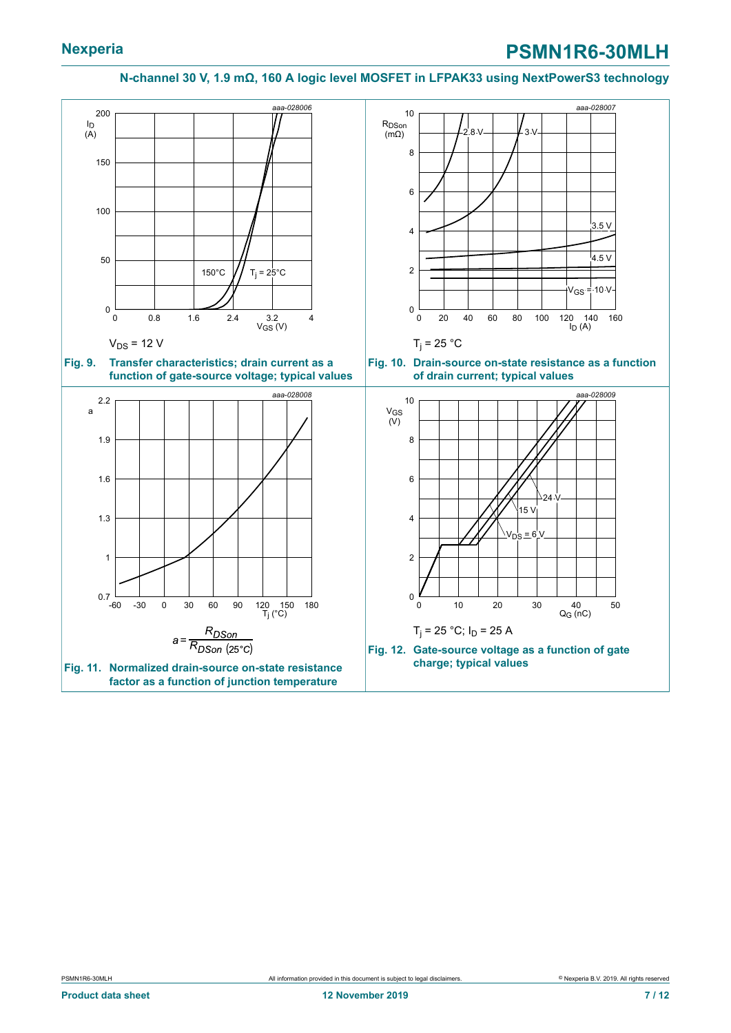<span id="page-6-2"></span><span id="page-6-1"></span><span id="page-6-0"></span>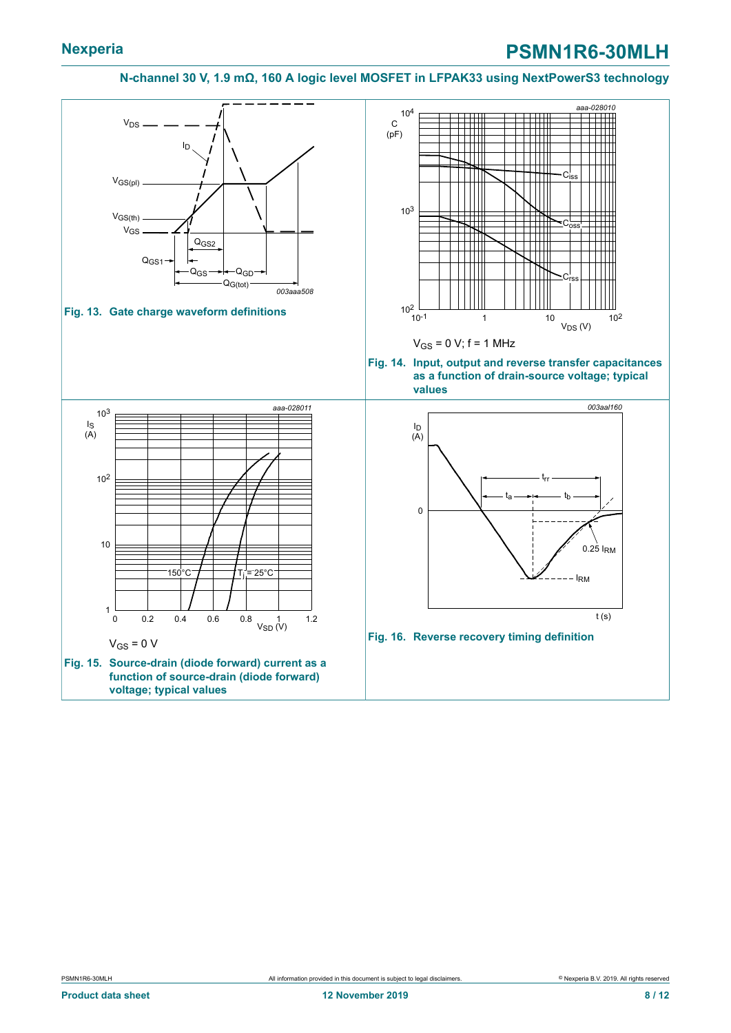### **Nexperia PSMN1R6-30MLH**

#### <span id="page-7-2"></span><span id="page-7-1"></span>**N-channel 30 V, 1.9 mΩ, 160 A logic level MOSFET in LFPAK33 using NextPowerS3 technology**

<span id="page-7-3"></span><span id="page-7-0"></span>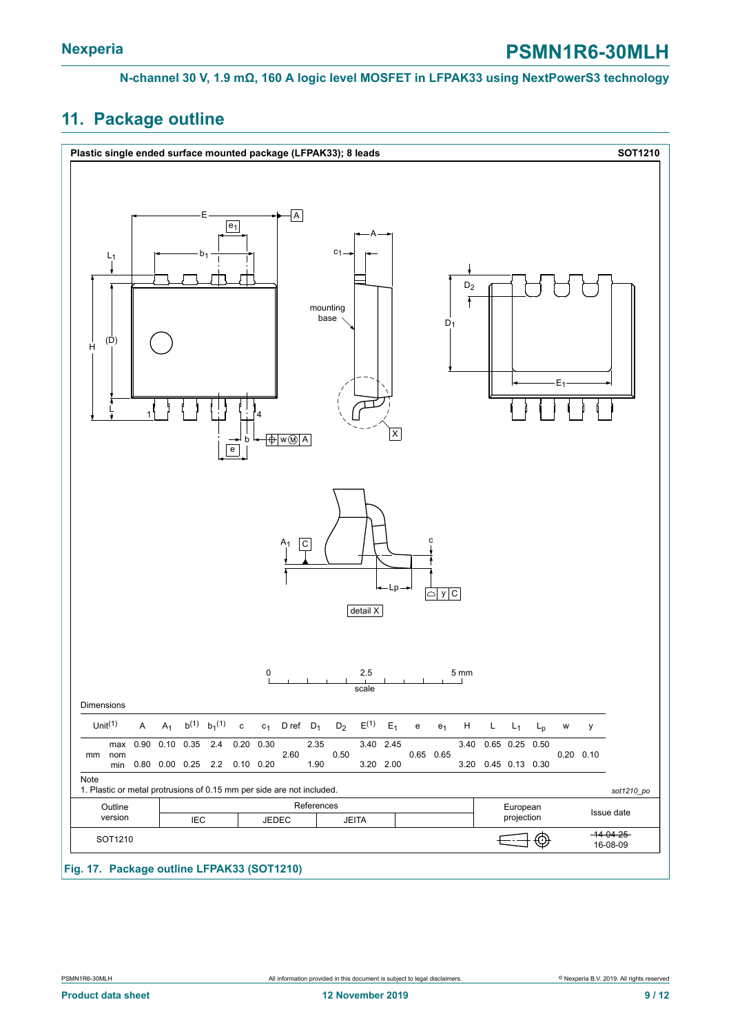### <span id="page-8-0"></span>**11. Package outline**

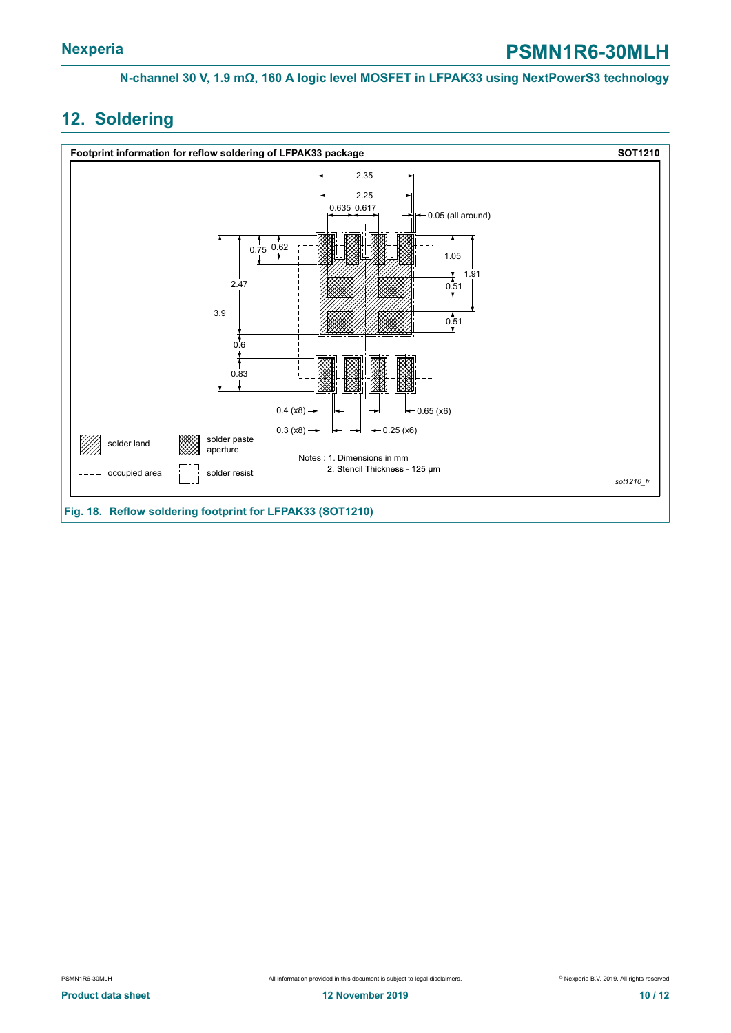### <span id="page-9-0"></span>**12. Soldering**

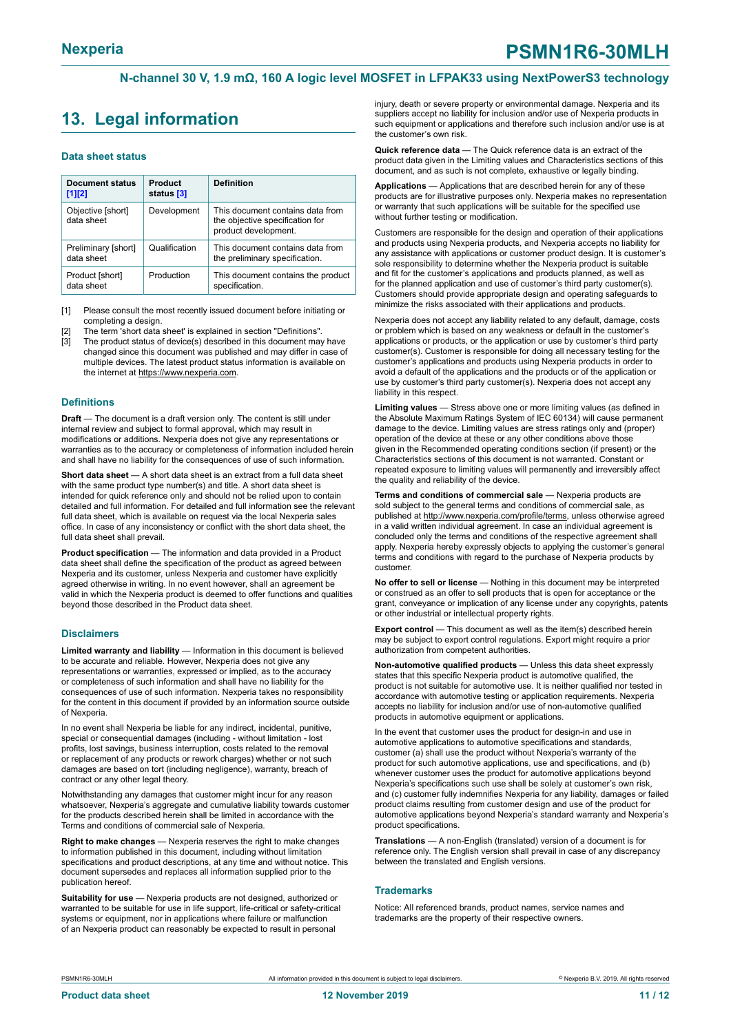### <span id="page-10-0"></span>**13. Legal information**

#### **Data sheet status**

| <b>Document status</b><br>$[1]$ [2] | Product<br>status [3] | <b>Definition</b>                                                                           |
|-------------------------------------|-----------------------|---------------------------------------------------------------------------------------------|
| Objective [short]<br>data sheet     | Development           | This document contains data from<br>the objective specification for<br>product development. |
| Preliminary [short]<br>data sheet   | Qualification         | This document contains data from<br>the preliminary specification.                          |
| Product [short]<br>data sheet       | Production            | This document contains the product<br>specification.                                        |

[1] Please consult the most recently issued document before initiating or completing a design.

The term 'short data sheet' is explained in section "Definitions".

[3] The product status of device(s) described in this document may have changed since this document was published and may differ in case of multiple devices. The latest product status information is available on the internet at [https://www.nexperia.com.](https://www.nexperia.com)

#### **Definitions**

**Draft** — The document is a draft version only. The content is still under internal review and subject to formal approval, which may result in modifications or additions. Nexperia does not give any representations or warranties as to the accuracy or completeness of information included herein and shall have no liability for the consequences of use of such information.

**Short data sheet** — A short data sheet is an extract from a full data sheet with the same product type number(s) and title. A short data sheet is intended for quick reference only and should not be relied upon to contain detailed and full information. For detailed and full information see the relevant full data sheet, which is available on request via the local Nexperia sales office. In case of any inconsistency or conflict with the short data sheet, the full data sheet shall prevail.

**Product specification** — The information and data provided in a Product data sheet shall define the specification of the product as agreed between Nexperia and its customer, unless Nexperia and customer have explicitly agreed otherwise in writing. In no event however, shall an agreement be valid in which the Nexperia product is deemed to offer functions and qualities beyond those described in the Product data sheet.

#### **Disclaimers**

**Limited warranty and liability** — Information in this document is believed to be accurate and reliable. However, Nexperia does not give any representations or warranties, expressed or implied, as to the accuracy or completeness of such information and shall have no liability for the consequences of use of such information. Nexperia takes no responsibility for the content in this document if provided by an information source outside of Nexperia.

In no event shall Nexperia be liable for any indirect, incidental, punitive, special or consequential damages (including - without limitation - lost profits, lost savings, business interruption, costs related to the removal or replacement of any products or rework charges) whether or not such damages are based on tort (including negligence), warranty, breach of contract or any other legal theory.

Notwithstanding any damages that customer might incur for any reason whatsoever, Nexperia's aggregate and cumulative liability towards customer for the products described herein shall be limited in accordance with the Terms and conditions of commercial sale of Nexperia.

**Right to make changes** — Nexperia reserves the right to make changes to information published in this document, including without limitation specifications and product descriptions, at any time and without notice. This document supersedes and replaces all information supplied prior to the publication hereof

**Suitability for use** — Nexperia products are not designed, authorized or warranted to be suitable for use in life support, life-critical or safety-critical systems or equipment, nor in applications where failure or malfunction of an Nexperia product can reasonably be expected to result in personal

injury, death or severe property or environmental damage. Nexperia and its suppliers accept no liability for inclusion and/or use of Nexperia products in such equipment or applications and therefore such inclusion and/or use is at the customer's own risk.

**Quick reference data** — The Quick reference data is an extract of the product data given in the Limiting values and Characteristics sections of this document, and as such is not complete, exhaustive or legally binding.

**Applications** — Applications that are described herein for any of these products are for illustrative purposes only. Nexperia makes no representation or warranty that such applications will be suitable for the specified use without further testing or modification.

Customers are responsible for the design and operation of their applications and products using Nexperia products, and Nexperia accepts no liability for any assistance with applications or customer product design. It is customer's sole responsibility to determine whether the Nexperia product is suitable and fit for the customer's applications and products planned, as well as for the planned application and use of customer's third party customer(s). Customers should provide appropriate design and operating safeguards to minimize the risks associated with their applications and products.

Nexperia does not accept any liability related to any default, damage, costs or problem which is based on any weakness or default in the customer's applications or products, or the application or use by customer's third party customer(s). Customer is responsible for doing all necessary testing for the customer's applications and products using Nexperia products in order to avoid a default of the applications and the products or of the application or use by customer's third party customer(s). Nexperia does not accept any liability in this respect.

**Limiting values** — Stress above one or more limiting values (as defined in the Absolute Maximum Ratings System of IEC 60134) will cause permanent damage to the device. Limiting values are stress ratings only and (proper) operation of the device at these or any other conditions above those given in the Recommended operating conditions section (if present) or the Characteristics sections of this document is not warranted. Constant or repeated exposure to limiting values will permanently and irreversibly affect the quality and reliability of the device.

**Terms and conditions of commercial sale** — Nexperia products are sold subject to the general terms and conditions of commercial sale, as published at [http://www.nexperia.com/profile/terms,](http://www.nexperia.com/profile/terms) unless otherwise agreed in a valid written individual agreement. In case an individual agreement is concluded only the terms and conditions of the respective agreement shall apply. Nexperia hereby expressly objects to applying the customer's general terms and conditions with regard to the purchase of Nexperia products by customer.

**No offer to sell or license** — Nothing in this document may be interpreted or construed as an offer to sell products that is open for acceptance or the grant, conveyance or implication of any license under any copyrights, patents or other industrial or intellectual property rights.

**Export control** — This document as well as the item(s) described herein may be subject to export control regulations. Export might require a prior authorization from competent authorities.

**Non-automotive qualified products** — Unless this data sheet expressly states that this specific Nexperia product is automotive qualified, the product is not suitable for automotive use. It is neither qualified nor tested in accordance with automotive testing or application requirements. Nexperia accepts no liability for inclusion and/or use of non-automotive qualified products in automotive equipment or applications.

In the event that customer uses the product for design-in and use in automotive applications to automotive specifications and standards, customer (a) shall use the product without Nexperia's warranty of the product for such automotive applications, use and specifications, and (b) whenever customer uses the product for automotive applications beyond Nexperia's specifications such use shall be solely at customer's own risk, and (c) customer fully indemnifies Nexperia for any liability, damages or failed product claims resulting from customer design and use of the product for automotive applications beyond Nexperia's standard warranty and Nexperia's product specifications.

**Translations** — A non-English (translated) version of a document is for reference only. The English version shall prevail in case of any discrepancy between the translated and English versions.

#### **Trademarks**

Notice: All referenced brands, product names, service names and trademarks are the property of their respective owners.

PSMN1R6-30MLH All information provided in this document is subject to legal disclaimers. © Nexperia B.V. 2019. All rights reserved